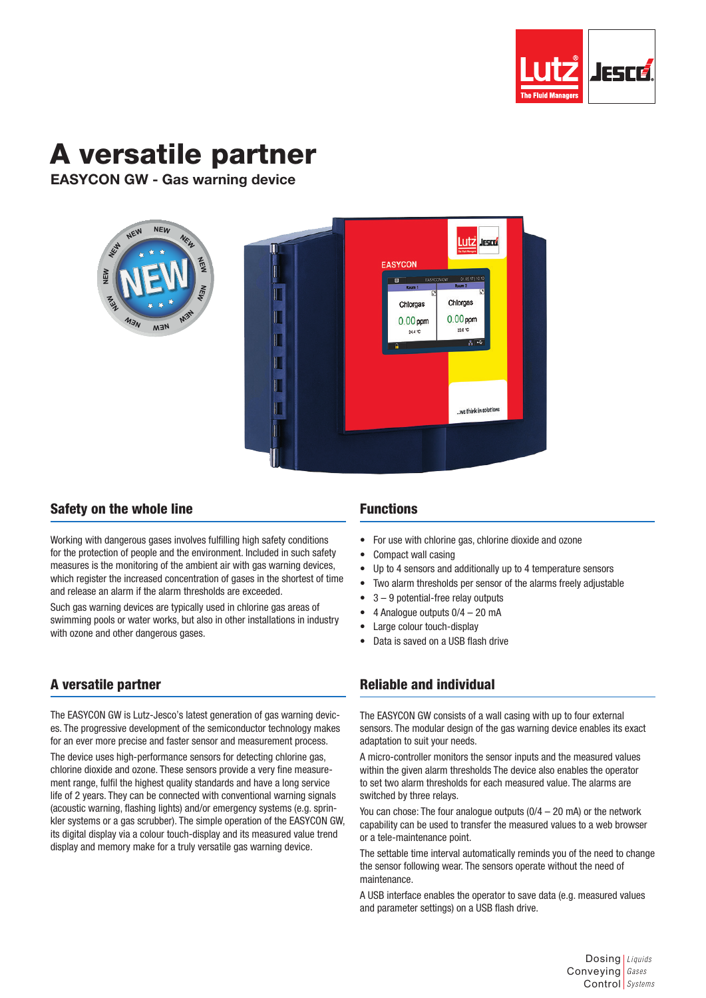

# A versatile partner

EASYCON GW - Gas warning device



## Safety on the whole line

Working with dangerous gases involves fulfilling high safety conditions for the protection of people and the environment. Included in such safety measures is the monitoring of the ambient air with gas warning devices, which register the increased concentration of gases in the shortest of time and release an alarm if the alarm thresholds are exceeded.

Such gas warning devices are typically used in chlorine gas areas of swimming pools or water works, but also in other installations in industry with ozone and other dangerous gases.

# A versatile partner

The EASYCON GW is Lutz-Jesco's latest generation of gas warning devices. The progressive development of the semiconductor technology makes for an ever more precise and faster sensor and measurement process.

The device uses high-performance sensors for detecting chlorine gas, chlorine dioxide and ozone. These sensors provide a very fine measurement range, fulfil the highest quality standards and have a long service life of 2 years. They can be connected with conventional warning signals (acoustic warning, flashing lights) and/or emergency systems (e.g. sprinkler systems or a gas scrubber). The simple operation of the EASYCON GW, its digital display via a colour touch-display and its measured value trend display and memory make for a truly versatile gas warning device.

## Functions

- For use with chlorine gas, chlorine dioxide and ozone
- Compact wall casing
- Up to 4 sensors and additionally up to 4 temperature sensors
- Two alarm thresholds per sensor of the alarms freely adjustable
- $3 9$  potential-free relay outputs
- 4 Analogue outputs 0/4 20 mA
- Large colour touch-display
- Data is saved on a USB flash drive

## Reliable and individual

The EASYCON GW consists of a wall casing with up to four external sensors. The modular design of the gas warning device enables its exact adaptation to suit your needs.

A micro-controller monitors the sensor inputs and the measured values within the given alarm thresholds The device also enables the operator to set two alarm thresholds for each measured value. The alarms are switched by three relays.

You can chose: The four analogue outputs (0/4 – 20 mA) or the network capability can be used to transfer the measured values to a web browser or a tele-maintenance point.

The settable time interval automatically reminds you of the need to change the sensor following wear. The sensors operate without the need of maintenance.

A USB interface enables the operator to save data (e.g. measured values and parameter settings) on a USB flash drive.

> Dosing *Liquids* Conveying *Gases* Control *Systems*